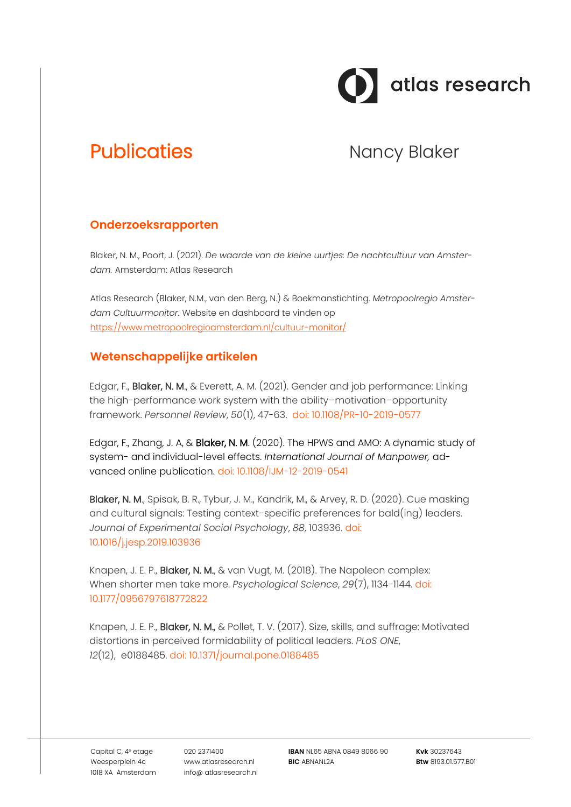

# Publicaties **Nancy Blaker** Nancy Blaker

## **Onderzoeksrapporten**

Blaker, N. M., Poort, J. (2021). *De waarde van de kleine uurtjes: De nachtcultuur van Amsterdam.* Amsterdam: Atlas Research

Atlas Research (Blaker, N.M., van den Berg, N.) & Boekmanstichting. *Metropoolregio Amsterdam Cultuurmonitor.* Website en dashboard te vinden op <https://www.metropoolregioamsterdam.nl/cultuur-monitor/>

## **Wetenschappelijke artikelen**

Edgar, F., Blaker, N. M., & Everett, A. M. (2021). Gender and job performance: Linking the high-performance work system with the ability–motivation–opportunity framework. *Personnel Review*, *50*(1), 47-63. [doi: 10.1108/PR-10-2019-0577](http://dx.doi.org/10.1108/PR-10-2019-0577)

Edgar, F., Zhang, J. A, & Blaker, N. M. (2020). The HPWS and AMO: A dynamic study of system- and individual-level effects. *International Journal of Manpower,* advanced online publication. doi: 10.1108/IJM-12-2019-0541

Blaker, N. M., Spisak, B. R., Tybur, J. M., Kandrik, M., & Arvey, R. D. (2020). Cue masking and cultural signals: Testing context-specific preferences for bald(ing) leaders. *Journal of Experimental Social Psychology*, *88*, 103936. [doi:](http://dx.doi.org/10.1016/j.jesp.2019.103936)  [10.1016/j.jesp.2019.103936](http://dx.doi.org/10.1016/j.jesp.2019.103936)

Knapen, J. E. P., **Blaker, N. M.**, & van Vugt, M. (2018). The Napoleon complex: When shorter men take more. *Psychological Science*, *29*(7), 1134-1144. [doi:](http://dx.doi.org/10.1177/0956797618772822)  [10.1177/0956797618772822](http://dx.doi.org/10.1177/0956797618772822)

Knapen, J. E. P., Blaker, N. M., & Pollet, T. V. (2017). Size, skills, and suffrage: Motivated distortions in perceived formidability of political leaders. *PLoS ONE*, *12*(12), e0188485. [doi: 10.1371/journal.pone.0188485](http://dx.doi.org/10.1371/journal.pone.0188485)

Capital C, 4<sup>e</sup> etage Weesperplein 4c 1018 XA Amsterdam 020 2371400 www.atlasresearch.nl info@ atlasresearch.nl

**IBAN** NL65 ABNA 0849 8066 90 **BIC** ABNANL2A

**Kvk** 30237643 **Btw** 8193.01.577.B01